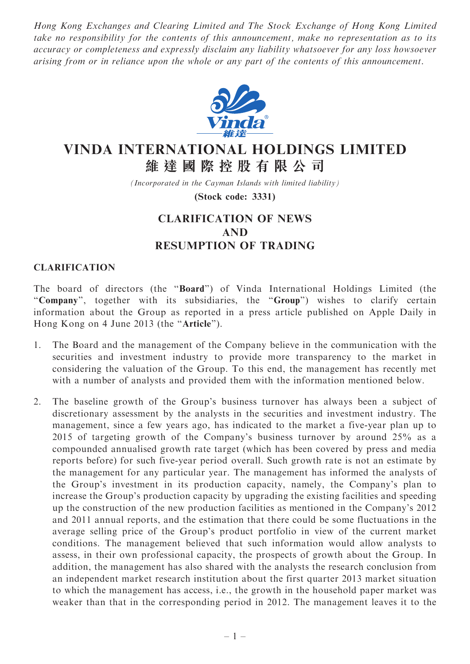Hong Kong Exchanges and Clearing Limited and The Stock Exchange of Hong Kong Limited take no responsibility for the contents of this announcement, make no representation as to its accuracy or completeness and expressly disclaim any liability whatsoever for any loss howsoever arising from or in reliance upon the whole or any part of the contents of this announcement.



## VINDA INTERNATIONAL HOLDINGS LIMITED 維 達 國 際 控 股 有 限 公 司

(Incorporated in the Cayman Islands with limited liability)

(Stock code: 3331)

## CLARIFICATION OF NEWS AND RESUMPTION OF TRADING

## CLARIFICATION

The board of directors (the ''Board'') of Vinda International Holdings Limited (the "Company", together with its subsidiaries, the "Group") wishes to clarify certain information about the Group as reported in a press article published on Apple Daily in Hong Kong on 4 June 2013 (the ''Article'').

- 1. The Board and the management of the Company believe in the communication with the securities and investment industry to provide more transparency to the market in considering the valuation of the Group. To this end, the management has recently met with a number of analysts and provided them with the information mentioned below.
- 2. The baseline growth of the Group's business turnover has always been a subject of discretionary assessment by the analysts in the securities and investment industry. The management, since a few years ago, has indicated to the market a five-year plan up to 2015 of targeting growth of the Company's business turnover by around 25% as a compounded annualised growth rate target (which has been covered by press and media reports before) for such five-year period overall. Such growth rate is not an estimate by the management for any particular year. The management has informed the analysts of the Group's investment in its production capacity, namely, the Company's plan to increase the Group's production capacity by upgrading the existing facilities and speeding up the construction of the new production facilities as mentioned in the Company's 2012 and 2011 annual reports, and the estimation that there could be some fluctuations in the average selling price of the Group's product portfolio in view of the current market conditions. The management believed that such information would allow analysts to assess, in their own professional capacity, the prospects of growth about the Group. In addition, the management has also shared with the analysts the research conclusion from an independent market research institution about the first quarter 2013 market situation to which the management has access, i.e., the growth in the household paper market was weaker than that in the corresponding period in 2012. The management leaves it to the